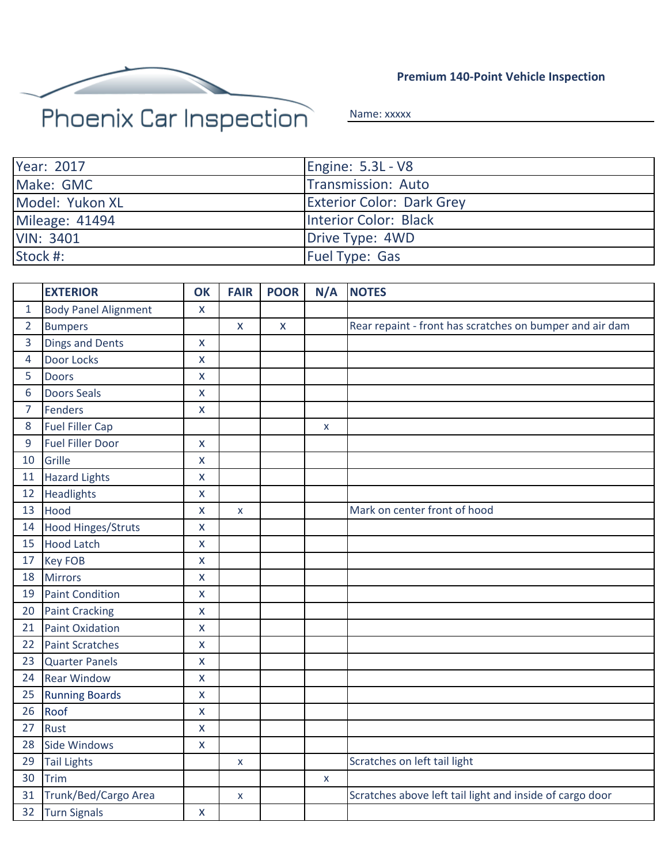

**Premium 140-Point Vehicle Inspection**

Name: xxxxx

| Year: 2017            | Engine: 5.3L - V8                |
|-----------------------|----------------------------------|
| Make: GMC             | Transmission: Auto               |
| Model: Yukon XL       | <b>Exterior Color: Dark Grey</b> |
| <b>Mileage: 41494</b> | Interior Color: Black            |
| <b>VIN: 3401</b>      | Drive Type: 4WD                  |
| Stock #:              | <b>Fuel Type: Gas</b>            |

|                | <b>EXTERIOR</b>             | OK                 | <b>FAIR</b>        | <b>POOR</b> | N/A | <b>NOTES</b>                                             |
|----------------|-----------------------------|--------------------|--------------------|-------------|-----|----------------------------------------------------------|
| 1              | <b>Body Panel Alignment</b> | X                  |                    |             |     |                                                          |
| $\overline{2}$ | <b>Bumpers</b>              |                    | $\bar{\mathbf{X}}$ | $\mathsf X$ |     | Rear repaint - front has scratches on bumper and air dam |
| 3              | <b>Dings and Dents</b>      | $\mathsf{x}$       |                    |             |     |                                                          |
| 4              | Door Locks                  | $\mathsf{x}$       |                    |             |     |                                                          |
| 5              | <b>Doors</b>                | X                  |                    |             |     |                                                          |
| 6              | <b>Doors Seals</b>          | $\mathsf{x}$       |                    |             |     |                                                          |
| $\overline{7}$ | <b>Fenders</b>              | $\mathsf{x}$       |                    |             |     |                                                          |
| 8              | <b>Fuel Filler Cap</b>      |                    |                    |             | X   |                                                          |
| 9              | <b>Fuel Filler Door</b>     | $\mathsf{x}$       |                    |             |     |                                                          |
| 10             | Grille                      | $\mathsf{x}$       |                    |             |     |                                                          |
| 11             | <b>Hazard Lights</b>        | $\mathsf{x}$       |                    |             |     |                                                          |
| 12             | Headlights                  | $\mathsf{x}$       |                    |             |     |                                                          |
| 13             | Hood                        | $\mathsf{x}$       | X                  |             |     | Mark on center front of hood                             |
| 14             | <b>Hood Hinges/Struts</b>   | $\mathsf{x}$       |                    |             |     |                                                          |
| 15             | <b>Hood Latch</b>           | $\pmb{\mathsf{X}}$ |                    |             |     |                                                          |
| 17             | <b>Key FOB</b>              | $\mathsf{x}$       |                    |             |     |                                                          |
| 18             | <b>Mirrors</b>              | $\mathsf{x}$       |                    |             |     |                                                          |
| 19             | <b>Paint Condition</b>      | $\mathsf{x}$       |                    |             |     |                                                          |
| 20             | <b>Paint Cracking</b>       | $\mathsf{X}$       |                    |             |     |                                                          |
| 21             | <b>Paint Oxidation</b>      | $\mathsf{x}$       |                    |             |     |                                                          |
| 22             | <b>Paint Scratches</b>      | X                  |                    |             |     |                                                          |
| 23             | <b>Quarter Panels</b>       | $\mathsf{x}$       |                    |             |     |                                                          |
| 24             | <b>Rear Window</b>          | $\pmb{\mathsf{X}}$ |                    |             |     |                                                          |
| 25             | <b>Running Boards</b>       | $\mathsf{x}$       |                    |             |     |                                                          |
| 26             | Roof                        | $\mathsf{x}$       |                    |             |     |                                                          |
| 27             | <b>Rust</b>                 | X                  |                    |             |     |                                                          |
| 28             | Side Windows                | $\mathsf{x}$       |                    |             |     |                                                          |
| 29             | <b>Tail Lights</b>          |                    | X                  |             |     | Scratches on left tail light                             |
| 30             | Trim                        |                    |                    |             | X   |                                                          |
| 31             | Trunk/Bed/Cargo Area        |                    | X                  |             |     | Scratches above left tail light and inside of cargo door |
| 32             | <b>Turn Signals</b>         | $\mathsf{x}$       |                    |             |     |                                                          |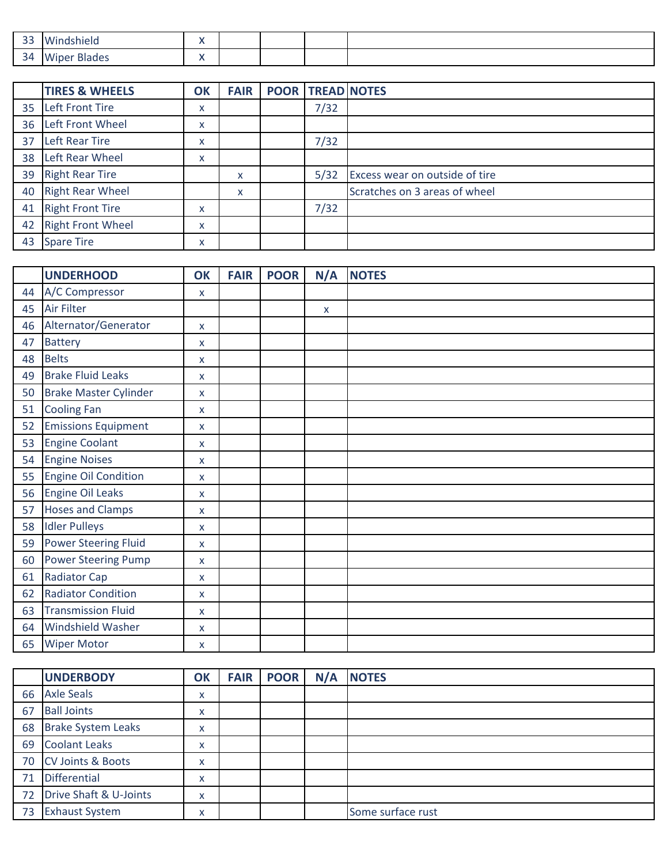| $\sim$ $\sim$<br>-- | .<br>nela<br>wunc                        |     |  |  |
|---------------------|------------------------------------------|-----|--|--|
| $\sim$<br>34<br>ັ   | <br>$1 - 1 - 1$<br>Wipe<br><b>Blades</b> | . . |  |  |

|    | <b>TIRES &amp; WHEELS</b> | OK | <b>FAIR</b> | <b>POOR TREAD NOTES</b> |                                |
|----|---------------------------|----|-------------|-------------------------|--------------------------------|
|    | 35 Left Front Tire        | x  |             | 7/32                    |                                |
| 36 | Left Front Wheel          | x  |             |                         |                                |
| 37 | Left Rear Tire            | x  |             | 7/32                    |                                |
| 38 | Left Rear Wheel           | x  |             |                         |                                |
| 39 | <b>Right Rear Tire</b>    |    | x           | 5/32                    | Excess wear on outside of tire |
| 40 | <b>Right Rear Wheel</b>   |    | X           |                         | Scratches on 3 areas of wheel  |
| 41 | <b>Right Front Tire</b>   | x  |             | 7/32                    |                                |
| 42 | <b>Right Front Wheel</b>  | x  |             |                         |                                |
| 43 | <b>Spare Tire</b>         | x  |             |                         |                                |

|    | <b>UNDERHOOD</b>             | <b>OK</b>    | <b>FAIR</b> | <b>POOR</b> | N/A | <b>NOTES</b> |
|----|------------------------------|--------------|-------------|-------------|-----|--------------|
| 44 | A/C Compressor               | X            |             |             |     |              |
| 45 | Air Filter                   |              |             |             | X   |              |
| 46 | Alternator/Generator         | $\mathsf{X}$ |             |             |     |              |
| 47 | <b>Battery</b>               | X            |             |             |     |              |
| 48 | <b>Belts</b>                 | $\mathsf{X}$ |             |             |     |              |
| 49 | <b>Brake Fluid Leaks</b>     | X            |             |             |     |              |
| 50 | <b>Brake Master Cylinder</b> | $\mathsf{X}$ |             |             |     |              |
| 51 | <b>Cooling Fan</b>           | X            |             |             |     |              |
| 52 | <b>Emissions Equipment</b>   | X            |             |             |     |              |
| 53 | <b>Engine Coolant</b>        | $\mathsf{x}$ |             |             |     |              |
| 54 | <b>Engine Noises</b>         | X            |             |             |     |              |
| 55 | <b>Engine Oil Condition</b>  | $\mathsf{X}$ |             |             |     |              |
| 56 | <b>Engine Oil Leaks</b>      | X            |             |             |     |              |
| 57 | <b>Hoses and Clamps</b>      | $\mathsf{x}$ |             |             |     |              |
| 58 | <b>Idler Pulleys</b>         | X            |             |             |     |              |
| 59 | <b>Power Steering Fluid</b>  | $\mathsf{X}$ |             |             |     |              |
| 60 | <b>Power Steering Pump</b>   | X            |             |             |     |              |
| 61 | <b>Radiator Cap</b>          | X            |             |             |     |              |
| 62 | <b>Radiator Condition</b>    | X            |             |             |     |              |
| 63 | <b>Transmission Fluid</b>    | X            |             |             |     |              |
| 64 | Windshield Washer            | X            |             |             |     |              |
| 65 | <b>Wiper Motor</b>           | X            |             |             |     |              |

|    | <b>UNDERBODY</b>          | OK | <b>FAIR</b> | <b>POOR</b> | N/A | <b>NOTES</b>      |
|----|---------------------------|----|-------------|-------------|-----|-------------------|
| 66 | <b>Axle Seals</b>         | x  |             |             |     |                   |
| 67 | <b>Ball Joints</b>        | x  |             |             |     |                   |
| 68 | <b>Brake System Leaks</b> | X  |             |             |     |                   |
| 69 | <b>Coolant Leaks</b>      | x  |             |             |     |                   |
|    | 70 CV Joints & Boots      | X  |             |             |     |                   |
| 71 | <b>Differential</b>       | x  |             |             |     |                   |
|    | 72 Drive Shaft & U-Joints | X  |             |             |     |                   |
| 73 | <b>Exhaust System</b>     | x  |             |             |     | Some surface rust |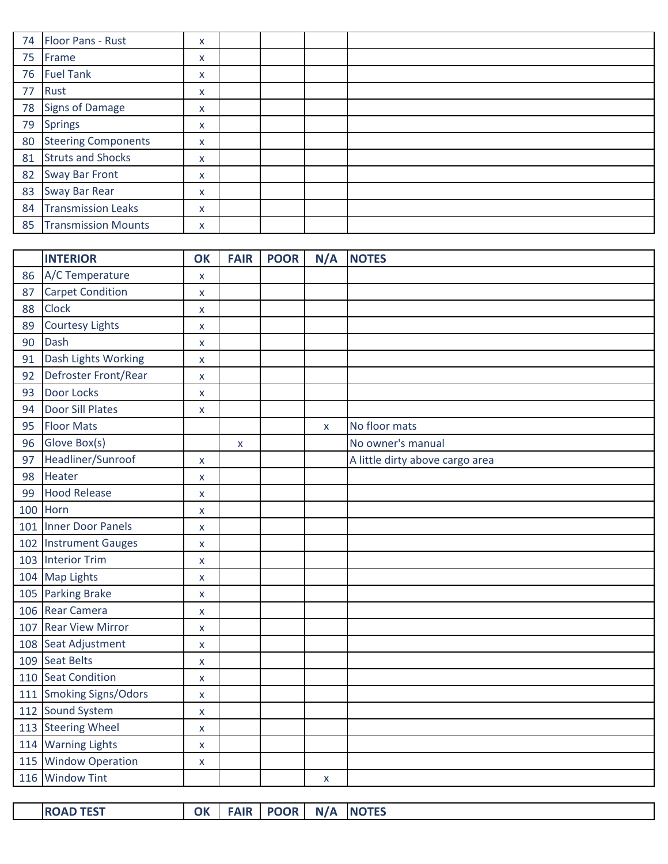| 74 | Floor Pans - Rust          | X |  |  |
|----|----------------------------|---|--|--|
| 75 | Frame                      | X |  |  |
| 76 | <b>Fuel Tank</b>           | X |  |  |
| 77 | Rust                       | x |  |  |
| 78 | <b>Signs of Damage</b>     | X |  |  |
| 79 | <b>Springs</b>             | X |  |  |
| 80 | <b>Steering Components</b> | x |  |  |
| 81 | <b>Struts and Shocks</b>   | x |  |  |
| 82 | <b>Sway Bar Front</b>      | x |  |  |
| 83 | <b>Sway Bar Rear</b>       | X |  |  |
| 84 | <b>Transmission Leaks</b>  | X |  |  |
| 85 | <b>Transmission Mounts</b> | x |  |  |

|    | <b>INTERIOR</b>         | OK                 | <b>FAIR</b> | <b>POOR</b> |   | N/A NOTES                       |
|----|-------------------------|--------------------|-------------|-------------|---|---------------------------------|
| 86 | A/C Temperature         | $\mathsf{x}$       |             |             |   |                                 |
| 87 | <b>Carpet Condition</b> | X                  |             |             |   |                                 |
| 88 | Clock                   | $\pmb{\mathsf{x}}$ |             |             |   |                                 |
| 89 | <b>Courtesy Lights</b>  | X                  |             |             |   |                                 |
| 90 | Dash                    | $\pmb{\mathsf{X}}$ |             |             |   |                                 |
| 91 | Dash Lights Working     | X                  |             |             |   |                                 |
| 92 | Defroster Front/Rear    | X                  |             |             |   |                                 |
| 93 | Door Locks              | $\bar{\mathbf{x}}$ |             |             |   |                                 |
| 94 | <b>Door Sill Plates</b> | X                  |             |             |   |                                 |
| 95 | <b>Floor Mats</b>       |                    |             |             | X | No floor mats                   |
| 96 | Glove Box(s)            |                    | X           |             |   | No owner's manual               |
| 97 | Headliner/Sunroof       | X                  |             |             |   | A little dirty above cargo area |
| 98 | Heater                  | X                  |             |             |   |                                 |
| 99 | <b>Hood Release</b>     | $\mathsf{x}$       |             |             |   |                                 |
|    | 100 Horn                | X                  |             |             |   |                                 |
|    | 101 Inner Door Panels   | $\mathsf{x}$       |             |             |   |                                 |
|    | 102 Instrument Gauges   | X                  |             |             |   |                                 |
|    | 103 Interior Trim       | $\mathsf{x}$       |             |             |   |                                 |
|    | 104 Map Lights          | $\pmb{\mathsf{x}}$ |             |             |   |                                 |
|    | 105 Parking Brake       | X                  |             |             |   |                                 |
|    | 106 Rear Camera         | $\mathsf{x}$       |             |             |   |                                 |
|    | 107 Rear View Mirror    | X                  |             |             |   |                                 |
|    | 108 Seat Adjustment     | $\pmb{\mathsf{X}}$ |             |             |   |                                 |
|    | 109 Seat Belts          | $\pmb{\mathsf{x}}$ |             |             |   |                                 |
|    | 110 Seat Condition      | $\pmb{\mathsf{x}}$ |             |             |   |                                 |
|    | 111 Smoking Signs/Odors | X                  |             |             |   |                                 |
|    | 112 Sound System        | X                  |             |             |   |                                 |
|    | 113 Steering Wheel      | $\mathsf{x}$       |             |             |   |                                 |
|    | 114 Warning Lights      | $\mathsf{x}$       |             |             |   |                                 |
|    | 115 Window Operation    | X                  |             |             |   |                                 |
|    | 116 Window Tint         |                    |             |             | X |                                 |

| $\Omega$<br>.<br>---                                                                |  |
|-------------------------------------------------------------------------------------|--|
| TFS<br><b>INO</b><br>1 D<br>n.<br>'NL.<br>$\mathbf{A}$ is proved by<br>.<br>ີ<br>-- |  |